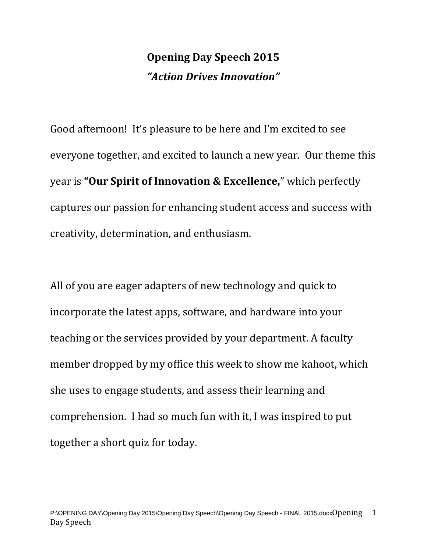### **Opening Day Speech 2015** *"Action Drives Innovation"*

Good afternoon! It's pleasure to be here and I'm excited to see everyone together, and excited to launch a new year. Our theme this year is **"Our Spirit of Innovation & Excellence,**" which perfectly captures our passion for enhancing student access and success with creativity, determination, and enthusiasm.

All of you are eager adapters of new technology and quick to incorporate the latest apps, software, and hardware into your teaching or the services provided by your department. A faculty member dropped by my office this week to show me kahoot, which she uses to engage students, and assess their learning and comprehension. I had so much fun with it, I was inspired to put together a short quiz for today.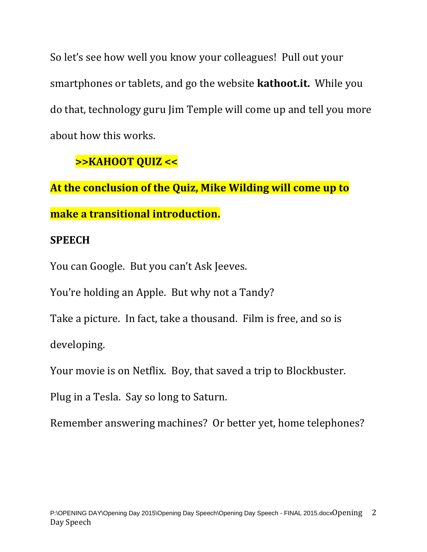So let's see how well you know your colleagues! Pull out your smartphones or tablets, and go the website **kathoot.it.** While you do that, technology guru Jim Temple will come up and tell you more about how this works.

#### **>>KAHOOT QUIZ <<**

**At the conclusion of the Quiz, Mike Wilding will come up to make a transitional introduction.** 

#### **SPEECH**

You can Google. But you can't Ask Jeeves.

You're holding an Apple. But why not a Tandy?

Take a picture. In fact, take a thousand. Film is free, and so is developing.

Your movie is on Netflix. Boy, that saved a trip to Blockbuster.

Plug in a Tesla. Say so long to Saturn.

Remember answering machines? Or better yet, home telephones?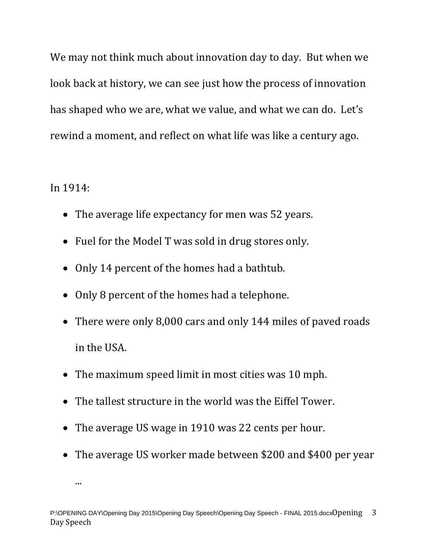We may not think much about innovation day to day. But when we look back at history, we can see just how the process of innovation has shaped who we are, what we value, and what we can do. Let's rewind a moment, and reflect on what life was like a century ago.

In 1914:

...

- The average life expectancy for men was 52 years.
- Fuel for the Model T was sold in drug stores only.
- Only 14 percent of the homes had a bathtub.
- Only 8 percent of the homes had a telephone.
- There were only 8,000 cars and only 144 miles of paved roads in the USA.
- The maximum speed limit in most cities was 10 mph.
- The tallest structure in the world was the Eiffel Tower.
- The average US wage in 1910 was 22 cents per hour.
- The average US worker made between \$200 and \$400 per year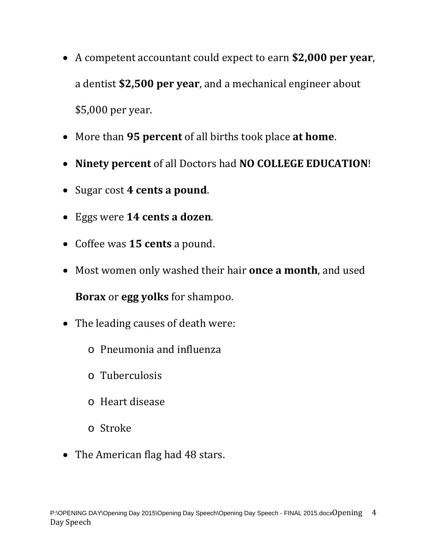- A competent accountant could expect to earn **\$2,000 per year**, a dentist **\$2,500 per year**, and a mechanical engineer about \$5,000 per year.
- More than **95 percent** of all births took place **at home**.
- **Ninety percent** of all Doctors had **NO COLLEGE EDUCATION**!
- Sugar cost **4 cents a pound**.
- Eggs were **14 cents a dozen**.
- Coffee was **15 cents** a pound.
- Most women only washed their hair **once a month**, and used

**Borax** or **egg yolks** for shampoo.

- The leading causes of death were:
	- o Pneumonia and influenza
	- o Tuberculosis
	- o Heart disease
	- o Stroke
- The American flag had 48 stars.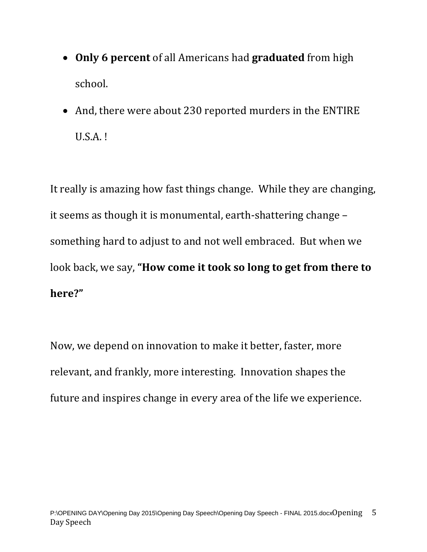- **Only 6 percent** of all Americans had **graduated** from high school.
- And, there were about 230 reported murders in the ENTIRE U.S.A. !

It really is amazing how fast things change. While they are changing, it seems as though it is monumental, earth-shattering change – something hard to adjust to and not well embraced. But when we look back, we say, **"How come it took so long to get from there to here?"** 

Now, we depend on innovation to make it better, faster, more relevant, and frankly, more interesting. Innovation shapes the future and inspires change in every area of the life we experience.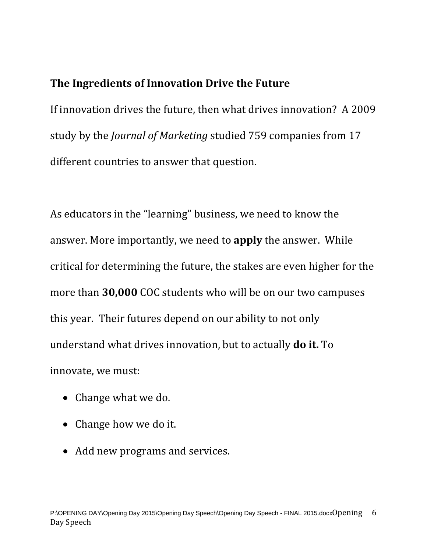#### **The Ingredients of Innovation Drive the Future**

If innovation drives the future, then what drives innovation? A 2009 study by the *Journal of Marketing* studied 759 companies from 17 different countries to answer that question.

As educators in the "learning" business, we need to know the answer. More importantly, we need to **apply** the answer. While critical for determining the future, the stakes are even higher for the more than **30,000** COC students who will be on our two campuses this year. Their futures depend on our ability to not only understand what drives innovation, but to actually **do it.** To innovate, we must:

- Change what we do.
- Change how we do it.
- Add new programs and services.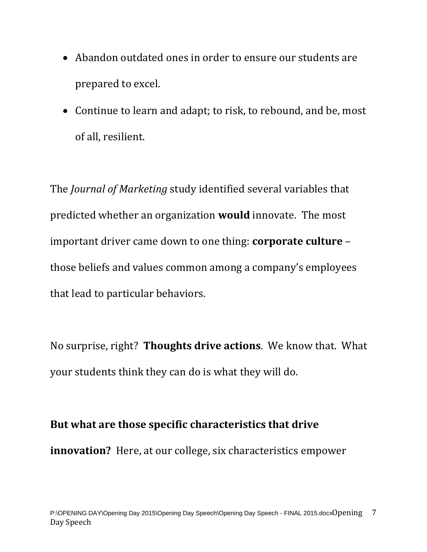- Abandon outdated ones in order to ensure our students are prepared to excel.
- Continue to learn and adapt; to risk, to rebound, and be, most of all, resilient.

The *Journal of Marketing* study identified several variables that predicted whether an organization **would** innovate. The most important driver came down to one thing: **corporate culture** – those beliefs and values common among a company's employees that lead to particular behaviors.

No surprise, right? **Thoughts drive actions**. We know that. What your students think they can do is what they will do.

## **But what are those specific characteristics that drive innovation?** Here, at our college, six characteristics empower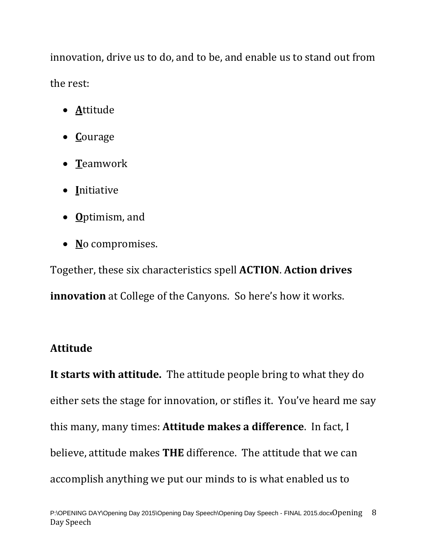innovation, drive us to do, and to be, and enable us to stand out from the rest:

- **A**ttitude
- **C**ourage
- **T**eamwork
- **I**nitiative
- **O**ptimism, and
- **N**o compromises.

Together, these six characteristics spell **ACTION**. **Action drives innovation** at College of the Canyons. So here's how it works.

#### **Attitude**

**It starts with attitude.** The attitude people bring to what they do either sets the stage for innovation, or stifles it. You've heard me say this many, many times: **Attitude makes a difference**. In fact, I believe, attitude makes **THE** difference. The attitude that we can accomplish anything we put our minds to is what enabled us to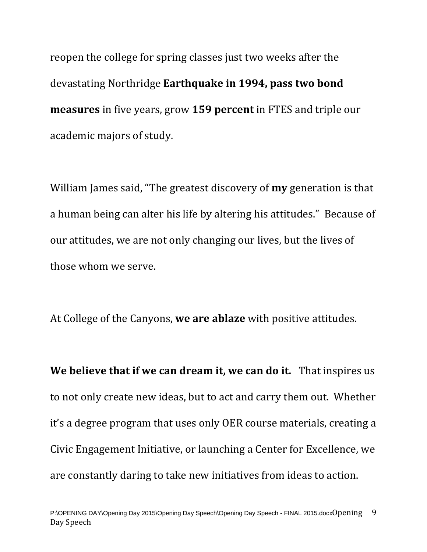reopen the college for spring classes just two weeks after the devastating Northridge **Earthquake in 1994, pass two bond measures** in five years, grow **159 percent** in FTES and triple our academic majors of study.

William James said, "The greatest discovery of **my** generation is that a human being can alter his life by altering his attitudes." Because of our attitudes, we are not only changing our lives, but the lives of those whom we serve.

At College of the Canyons, **we are ablaze** with positive attitudes.

**We believe that if we can dream it, we can do it.** That inspires us to not only create new ideas, but to act and carry them out. Whether it's a degree program that uses only OER course materials, creating a Civic Engagement Initiative, or launching a Center for Excellence, we are constantly daring to take new initiatives from ideas to action.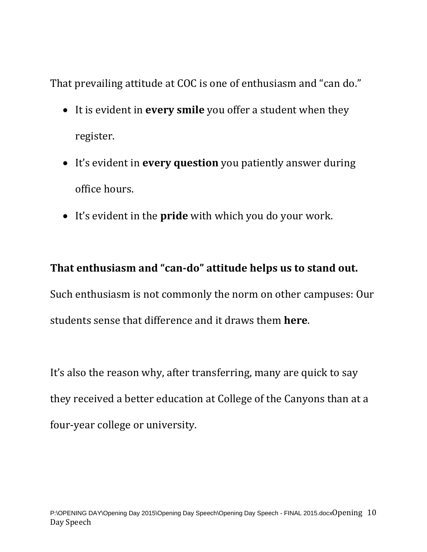That prevailing attitude at COC is one of enthusiasm and "can do."

- It is evident in **every smile** you offer a student when they register.
- It's evident in **every question** you patiently answer during office hours.
- It's evident in the **pride** with which you do your work.

#### **That enthusiasm and "can-do" attitude helps us to stand out.**

Such enthusiasm is not commonly the norm on other campuses: Our students sense that difference and it draws them **here**.

It's also the reason why, after transferring, many are quick to say they received a better education at College of the Canyons than at a four-year college or university.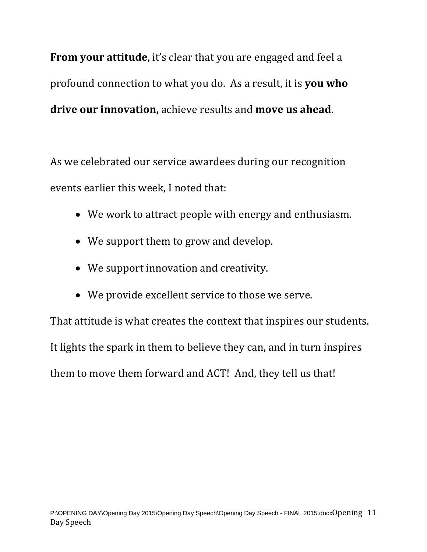**From your attitude**, it's clear that you are engaged and feel a profound connection to what you do. As a result, it is **you who drive our innovation,** achieve results and **move us ahead**.

As we celebrated our service awardees during our recognition events earlier this week, I noted that:

- We work to attract people with energy and enthusiasm.
- We support them to grow and develop.
- We support innovation and creativity.
- We provide excellent service to those we serve.

That attitude is what creates the context that inspires our students. It lights the spark in them to believe they can, and in turn inspires them to move them forward and ACT! And, they tell us that!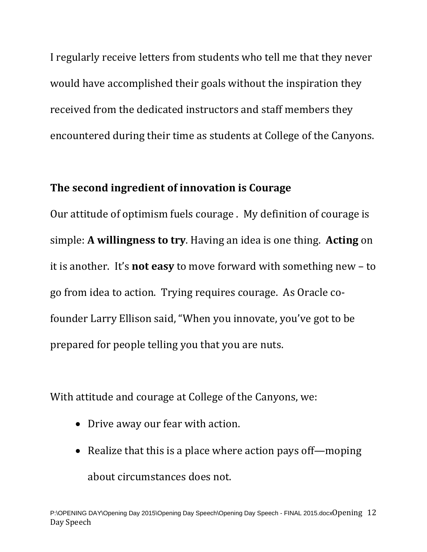I regularly receive letters from students who tell me that they never would have accomplished their goals without the inspiration they received from the dedicated instructors and staff members they encountered during their time as students at College of the Canyons.

#### **The second ingredient of innovation is Courage**

Our attitude of optimism fuels courage . My definition of courage is simple: **A willingness to try**. Having an idea is one thing. **Acting** on it is another. It's **not easy** to move forward with something new – to go from idea to action. Trying requires courage. As Oracle cofounder Larry Ellison said, "When you innovate, you've got to be prepared for people telling you that you are nuts.

With attitude and courage at College of the Canyons, we:

- Drive away our fear with action.
- Realize that this is a place where action pays off—moping about circumstances does not.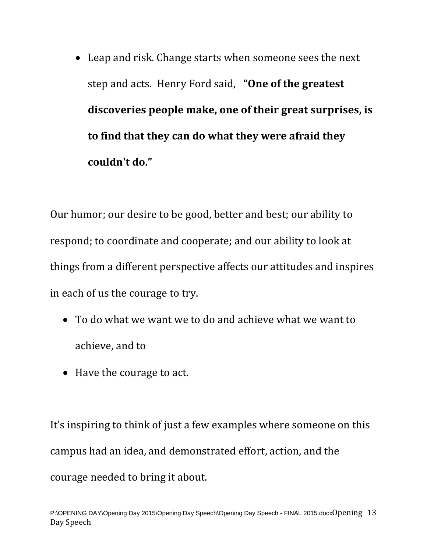• Leap and risk. Change starts when someone sees the next step and acts. Henry Ford said, **"One of the greatest discoveries people make, one of their great surprises, is to find that they can do what they were afraid they couldn't do."**

Our humor; our desire to be good, better and best; our ability to respond; to coordinate and cooperate; and our ability to look at things from a different perspective affects our attitudes and inspires in each of us the courage to try.

- To do what we want we to do and achieve what we want to achieve, and to
- Have the courage to act.

It's inspiring to think of just a few examples where someone on this campus had an idea, and demonstrated effort, action, and the courage needed to bring it about.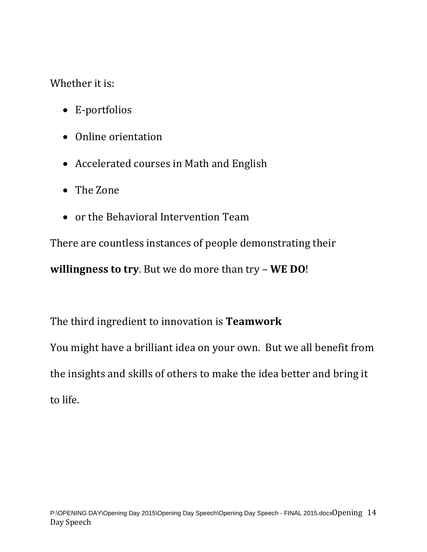Whether it is:

- E-portfolios
- Online orientation
- Accelerated courses in Math and English
- The Zone
- or the Behavioral Intervention Team

There are countless instances of people demonstrating their

**willingness to try**. But we do more than try – **WE DO**!

The third ingredient to innovation is **Teamwork** 

You might have a brilliant idea on your own. But we all benefit from the insights and skills of others to make the idea better and bring it to life.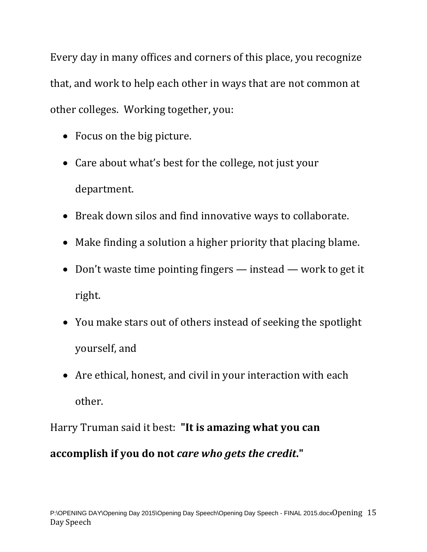Every day in many offices and corners of this place, you recognize that, and work to help each other in ways that are not common at other colleges. Working together, you:

- Focus on the big picture.
- Care about what's best for the college, not just your department.
- Break down silos and find innovative ways to collaborate.
- Make finding a solution a higher priority that placing blame.
- Don't waste time pointing fingers instead work to get it right.
- You make stars out of others instead of seeking the spotlight yourself, and
- Are ethical, honest, and civil in your interaction with each other.

Harry Truman said it best: **"It is amazing what you can accomplish if you do not** *care who gets the credit***."**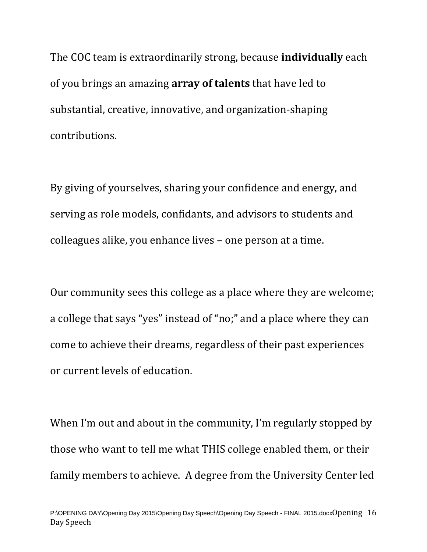The COC team is extraordinarily strong, because **individually** each of you brings an amazing **array of talents** that have led to substantial, creative, innovative, and organization-shaping contributions.

By giving of yourselves, sharing your confidence and energy, and serving as role models, confidants, and advisors to students and colleagues alike, you enhance lives – one person at a time.

Our community sees this college as a place where they are welcome; a college that says "yes" instead of "no;" and a place where they can come to achieve their dreams, regardless of their past experiences or current levels of education.

When I'm out and about in the community, I'm regularly stopped by those who want to tell me what THIS college enabled them, or their family members to achieve. A degree from the University Center led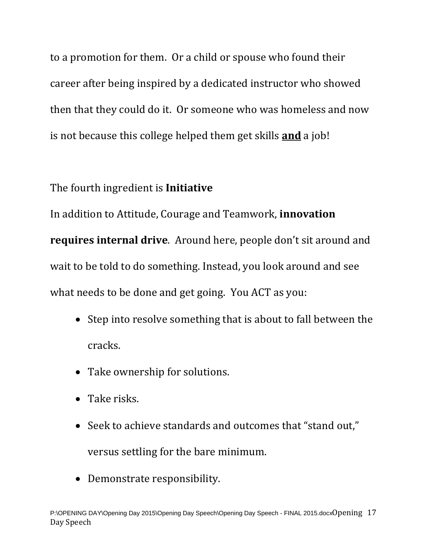to a promotion for them. Or a child or spouse who found their career after being inspired by a dedicated instructor who showed then that they could do it. Or someone who was homeless and now is not because this college helped them get skills **and** a job!

#### The fourth ingredient is **Initiative**

In addition to Attitude, Courage and Teamwork, **innovation requires internal drive**. Around here, people don't sit around and wait to be told to do something. Instead, you look around and see what needs to be done and get going. You ACT as you:

- Step into resolve something that is about to fall between the cracks.
- Take ownership for solutions.
- Take risks.
- Seek to achieve standards and outcomes that "stand out," versus settling for the bare minimum.
- Demonstrate responsibility.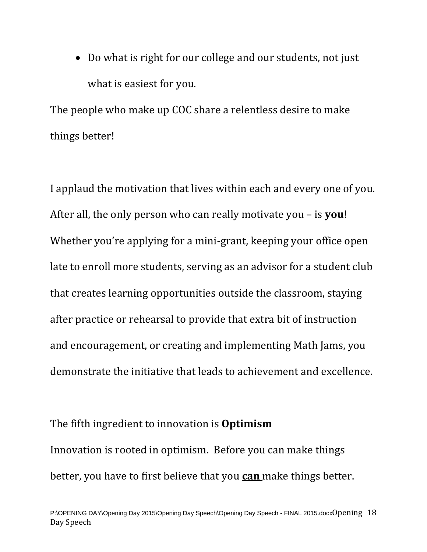• Do what is right for our college and our students, not just what is easiest for you.

The people who make up COC share a relentless desire to make things better!

I applaud the motivation that lives within each and every one of you. After all, the only person who can really motivate you – is **you**! Whether you're applying for a mini-grant, keeping your office open late to enroll more students, serving as an advisor for a student club that creates learning opportunities outside the classroom, staying after practice or rehearsal to provide that extra bit of instruction and encouragement, or creating and implementing Math Jams, you demonstrate the initiative that leads to achievement and excellence.

The fifth ingredient to innovation is **Optimism** Innovation is rooted in optimism. Before you can make things better, you have to first believe that you **can** make things better.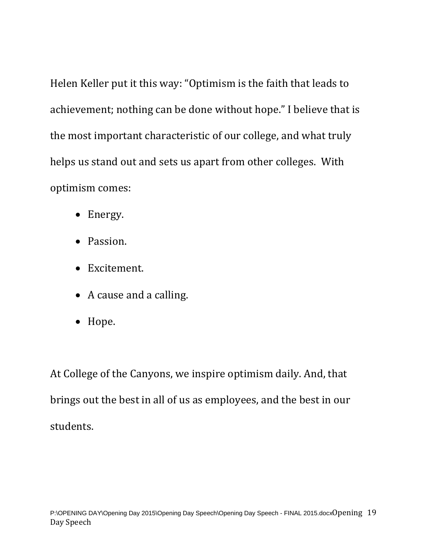Helen Keller put it this way: "Optimism is the faith that leads to achievement; nothing can be done without hope." I believe that is the most important characteristic of our college, and what truly helps us stand out and sets us apart from other colleges. With optimism comes:

- Energy.
- Passion.
- Excitement.
- A cause and a calling.
- Hope.

At College of the Canyons, we inspire optimism daily. And, that brings out the best in all of us as employees, and the best in our students.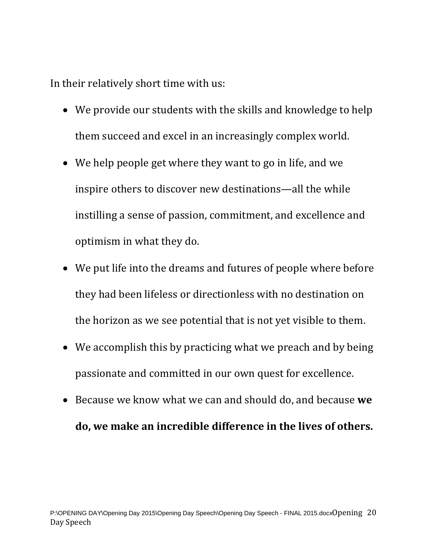In their relatively short time with us:

- We provide our students with the skills and knowledge to help them succeed and excel in an increasingly complex world.
- We help people get where they want to go in life, and we inspire others to discover new destinations—all the while instilling a sense of passion, commitment, and excellence and optimism in what they do.
- We put life into the dreams and futures of people where before they had been lifeless or directionless with no destination on the horizon as we see potential that is not yet visible to them.
- We accomplish this by practicing what we preach and by being passionate and committed in our own quest for excellence.
- Because we know what we can and should do, and because **we do, we make an incredible difference in the lives of others.**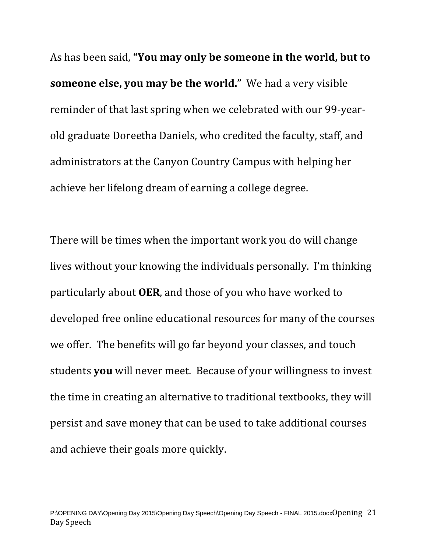As has been said, **"You may only be someone in the world, but to someone else, you may be the world."** We had a very visible reminder of that last spring when we celebrated with our 99-yearold graduate Doreetha Daniels, who credited the faculty, staff, and administrators at the Canyon Country Campus with helping her achieve her lifelong dream of earning a college degree.

There will be times when the important work you do will change lives without your knowing the individuals personally. I'm thinking particularly about **OER**, and those of you who have worked to developed free online educational resources for many of the courses we offer. The benefits will go far beyond your classes, and touch students **you** will never meet. Because of your willingness to invest the time in creating an alternative to traditional textbooks, they will persist and save money that can be used to take additional courses and achieve their goals more quickly.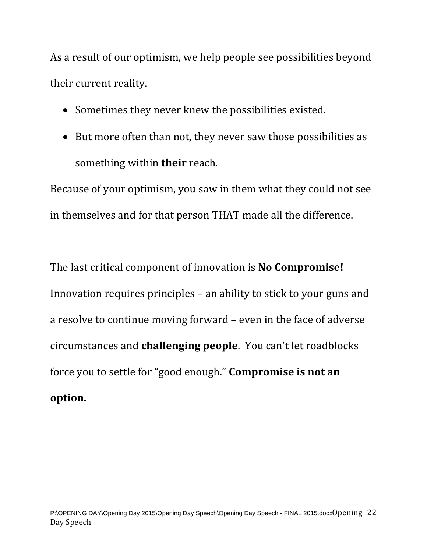As a result of our optimism, we help people see possibilities beyond their current reality.

- Sometimes they never knew the possibilities existed.
- But more often than not, they never saw those possibilities as something within **their** reach.

Because of your optimism, you saw in them what they could not see in themselves and for that person THAT made all the difference.

The last critical component of innovation is **No Compromise!** Innovation requires principles – an ability to stick to your guns and a resolve to continue moving forward – even in the face of adverse circumstances and **challenging people**. You can't let roadblocks force you to settle for "good enough." **Compromise is not an option.**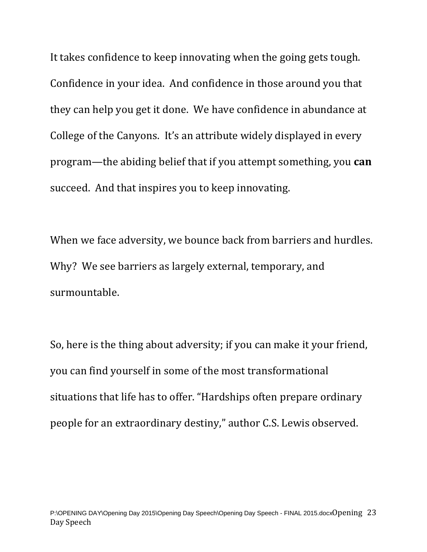It takes confidence to keep innovating when the going gets tough. Confidence in your idea. And confidence in those around you that they can help you get it done. We have confidence in abundance at College of the Canyons. It's an attribute widely displayed in every program—the abiding belief that if you attempt something, you **can** succeed. And that inspires you to keep innovating.

When we face adversity, we bounce back from barriers and hurdles. Why? We see barriers as largely external, temporary, and surmountable.

So, here is the thing about adversity; if you can make it your friend, you can find yourself in some of the most transformational situations that life has to offer. "Hardships often prepare ordinary people for an extraordinary destiny," author C.S. Lewis observed.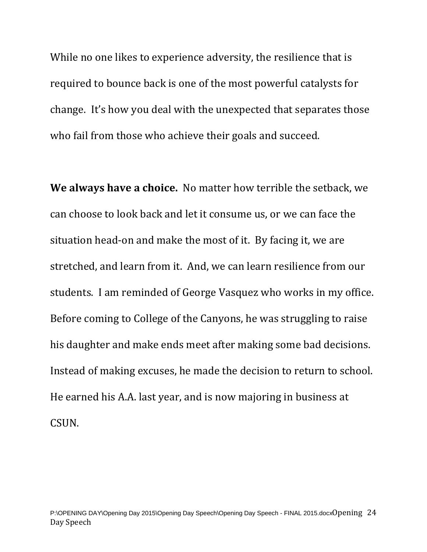While no one likes to experience adversity, the resilience that is required to bounce back is one of the most powerful catalysts for change. It's how you deal with the unexpected that separates those who fail from those who achieve their goals and succeed.

**We always have a choice.** No matter how terrible the setback, we can choose to look back and let it consume us, or we can face the situation head-on and make the most of it. By facing it, we are stretched, and learn from it. And, we can learn resilience from our students. I am reminded of George Vasquez who works in my office. Before coming to College of the Canyons, he was struggling to raise his daughter and make ends meet after making some bad decisions. Instead of making excuses, he made the decision to return to school. He earned his A.A. last year, and is now majoring in business at CSUN.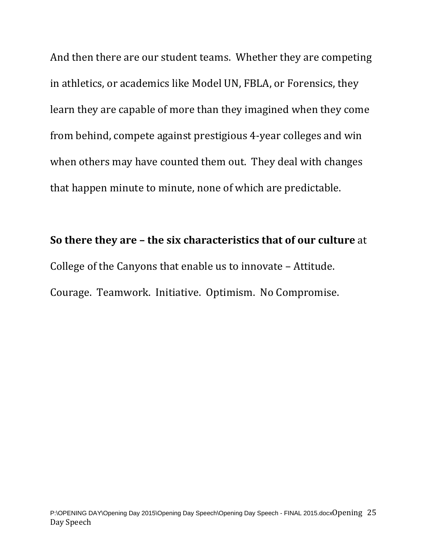And then there are our student teams. Whether they are competing in athletics, or academics like Model UN, FBLA, or Forensics, they learn they are capable of more than they imagined when they come from behind, compete against prestigious 4-year colleges and win when others may have counted them out. They deal with changes that happen minute to minute, none of which are predictable.

# **So there they are – the six characteristics that of our culture** at College of the Canyons that enable us to innovate – Attitude. Courage. Teamwork. Initiative. Optimism. No Compromise.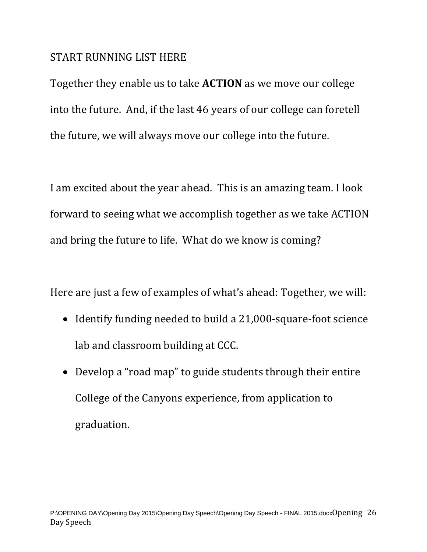#### START RUNNING LIST HERE

Together they enable us to take **ACTION** as we move our college into the future. And, if the last 46 years of our college can foretell the future, we will always move our college into the future.

I am excited about the year ahead. This is an amazing team. I look forward to seeing what we accomplish together as we take ACTION and bring the future to life. What do we know is coming?

Here are just a few of examples of what's ahead: Together, we will:

- Identify funding needed to build a 21,000-square-foot science lab and classroom building at CCC.
- Develop a "road map" to guide students through their entire College of the Canyons experience, from application to graduation.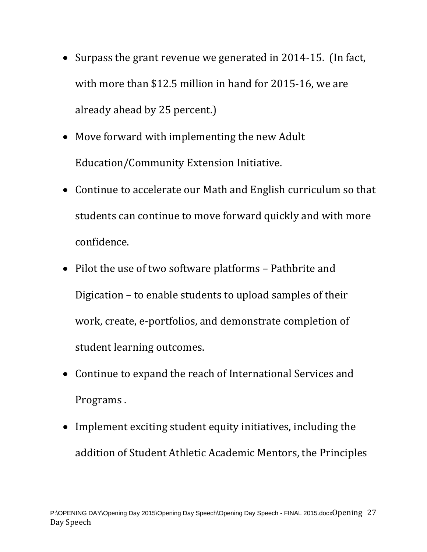- Surpass the grant revenue we generated in 2014-15. (In fact, with more than \$12.5 million in hand for 2015-16, we are already ahead by 25 percent.)
- Move forward with implementing the new Adult Education/Community Extension Initiative.
- Continue to accelerate our Math and English curriculum so that students can continue to move forward quickly and with more confidence.
- Pilot the use of two software platforms Pathbrite and Digication – to enable students to upload samples of their work, create, e-portfolios, and demonstrate completion of student learning outcomes.
- Continue to expand the reach of International Services and Programs .
- Implement exciting student equity initiatives, including the addition of Student Athletic Academic Mentors, the Principles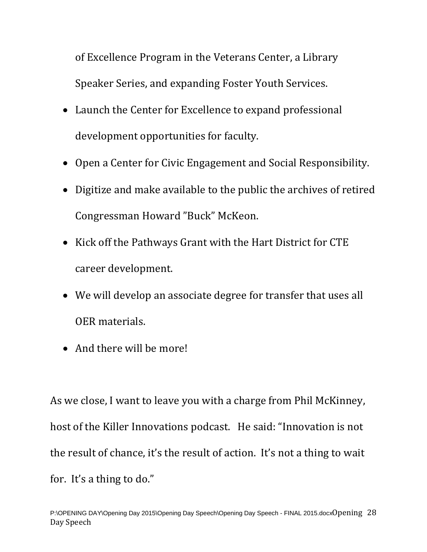of Excellence Program in the Veterans Center, a Library Speaker Series, and expanding Foster Youth Services.

- Launch the Center for Excellence to expand professional development opportunities for faculty.
- Open a Center for Civic Engagement and Social Responsibility.
- Digitize and make available to the public the archives of retired Congressman Howard "Buck" McKeon.
- Kick off the Pathways Grant with the Hart District for CTE career development.
- We will develop an associate degree for transfer that uses all OER materials.
- And there will be more!

As we close, I want to leave you with a charge from Phil McKinney, host of the Killer Innovations podcast. He said: "Innovation is not the result of chance, it's the result of action. It's not a thing to wait for. It's a thing to do."